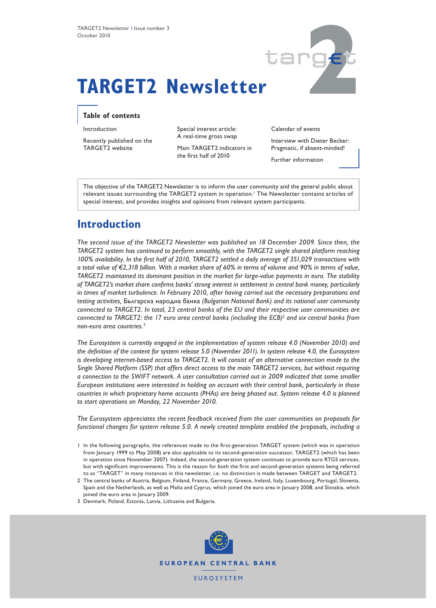

# **TARGET2 Newsletter**

## **Table of contents**

Introduction

Recently published on the TARGET2 website

Special interest article: A real-time gross swap

Main TARGET2 indicators in the first half of 2010

Calendar of events

Interview with Dieter Becker: Pragmatic, if absent-minded!

Further information

The objective of the TARGET2 Newsletter is to inform the user community and the general public about relevant issues surrounding the TARGET2 system in operation.<sup>1</sup> The Newsletter contains articles of special interest, and provides insights and opinions from relevant system participants.

# **Introduction**

*The second issue of the TARGET2 Newsletter was published on 18 December 2009. Since then, the TARGET2 system has continued to perform smoothly, with the TARGET2 single shared platform reaching 100% availability. In the first half of 2010, TARGET2 settled a daily average of 351,029 transactions with a total value of €2,318 billion. With a market share of 60% in terms of volume and 90% in terms of value, TARGET2 maintained its dominant position in the market for large-value payments in euro. The stability of TARGET2's market share confirms banks' strong interest in settlement in central bank money, particularly in times of market turbulence. In February 2010, after having carried out the necessary preparations and testing activities,* Българска народна банка *(Bulgarian National Bank) and its national user community connected to TARGET2. In total, 23 central banks of the EU and their respective user communities are connected to TARGET2: the 17 euro area central banks (including the ECB)<sup>2</sup> and six central banks from non-euro area countries.3* 

*The Eurosystem is currently engaged in the implementation of system release 4.0 (November 2010) and the definition of the content for system release 5.0 (November 2011). In system release 4.0, the Eurosystem is developing internet-based access to TARGET2. It will consist of an alternative connection mode to the Single Shared Platform (SSP) that offers direct access to the main TARGET2 services, but without requiring a connection to the SWIFT network. A user consultation carried out in 2009 indicated that some smaller European institutions were interested in holding an account with their central bank, particularly in those countries in which proprietary home accounts (PHAs) are being phased out. System release 4.0 is planned to start operations on Monday, 22 November 2010.* 

*The Eurosystem appreciates the recent feedback received from the user communities on proposals for functional changes for system release 5.0. A newly created template enabled the proposals, including a* 

- 1 In the following paragraphs, the references made to the first-generation TARGET system (which was in operation from January 1999 to May 2008) are also applicable to its second-generation successor, TARGET2 (which has been in operation since November 2007). Indeed, the second-generation system continues to provide euro RTGS services, but with significant improvements. This is the reason for both the first and second-generation systems being referred to as "TARGET" in many instances in this newsletter, i.e. no distinction is made between TARGET and TARGET2.
- 2 The central banks of Austria, Belgium, Finland, France, Germany, Greece, Ireland, Italy, Luxembourg, Portugal, Slovenia, Spain and the Netherlands, as well as Malta and Cyprus, which joined the euro area in January 2008, and Slovakia, which joined the euro area in January 2009.
- 3 Denmark, Poland, Estonia, Latvia, Lithuania and Bulgaria.

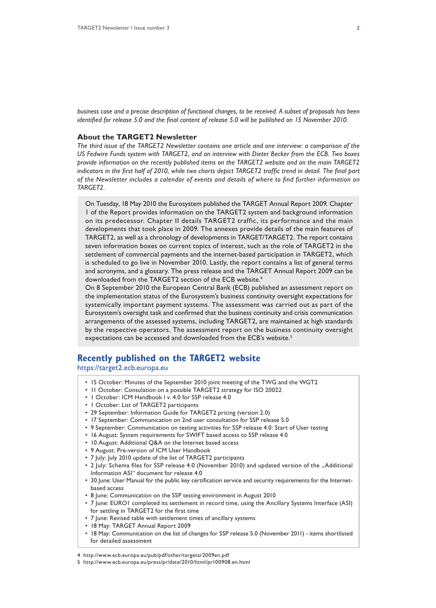*business case and a precise description of functional changes, to be received. A subset of proposals has been identified for release 5.0 and the final content of release 5.0 will be published on 15 November 2010.*

## **About the TARGET2 Newsletter**

*The third issue of the TARGET2 Newsletter contains one article and one interview: a comparison of the US Fedwire Funds system with TARGET2, and an interview with Dieter Becker from the ECB. Two boxes provide information on the recently published items on the TARGET2 website and on the main TARGET2 indicators in the first half of 2010, while two charts depict TARGET2 traffic trend in detail. The final part of the Newsletter includes a calendar of events and details of where to find further information on TARGET2.*

On Tuesday, 18 May 2010 the Eurosystem published the TARGET Annual Report 2009. Chapter 1 of the Report provides information on the TARGET2 system and background information on its predecessor. Chapter II details TARGET2 traffic, its performance and the main developments that took place in 2009. The annexes provide details of the main features of TARGET2, as well as a chronology of developments in TARGET/TARGET2. The report contains seven information boxes on current topics of interest, such as the role of TARGET2 in the settlement of commercial payments and the internet-based participation in TARGET2, which is scheduled to go live in November 2010. Lastly, the report contains a list of general terms and acronyms, and a glossary. The press release and the TARGET Annual Report 2009 can be downloaded from the TARGET2 section of the ECB website.<sup>4</sup>

On 8 September 2010 the European Central Bank (ECB) published an assessment report on the implementation status of the Eurosystem's business continuity oversight expectations for systemically important payment systems. The assessment was carried out as part of the Eurosystem's oversight task and confirmed that the business continuity and crisis communication arrangements of the assessed systems, including TARGET2, are maintained at high standards by the respective operators. The assessment report on the business continuity oversight expectations can be accessed and downloaded from the ECB's website.<sup>5</sup>

## **Recently published on the TARGET2 website**

https://target2.ecb.europa.eu

- 15 October: Minutes of the September 2010 joint meeting of the TWG and the WGT2
- 11 October: Consulation on a possible TARGET2 strategy for ISO 20022
- 1 October: ICM Handbook I v. 4.0 for SSP release 4.0
- 1 October: List of TARGET2 participants
- 29 September: Information Guide for TARGET2 pricing (version 2.0)
- 17 September: Communication on 2nd user consultation for SSP release 5.0
- 9 September: Communication on testing activities for SSP release 4.0: Start of User testing
- 16 August: System requirements for SWIFT based access to SSP release 4.0
- 10 August: Additional Q&A on the Internet based access
- 9 August: Pre-version of ICM User Handbook
- 7 July: July 2010 update of the list of TARGET2 participants
- 2 July: Schema files for SSP release 4.0 (November 2010) and updated version of the "Additional Information ASI" document for release 4.0
- 30 June: User Manual for the public key certification service and security requirements for the Internetbased access
- 8 June: Communication on the SSP testing environment in August 2010
- 7 June: EURO1 completed its settlement in record time, using the Ancillary Systems Interface (ASI) for settling in TARGET2 for the first time
- 7 June: Revised table with settlement times of ancillary systems
- 18 May: TARGET Annual Report 2009
- 18 May: Communication on the list of changes for SSP release 5.0 (November 2011) items shortlisted for detailed assessment

<sup>4</sup> http://www.ecb.europa.eu/pub/pdf/other/targetar2009en.pdf

<sup>5</sup> http://www.ecb.europa.eu/press/pr/date/2010/html/pr100908.en.html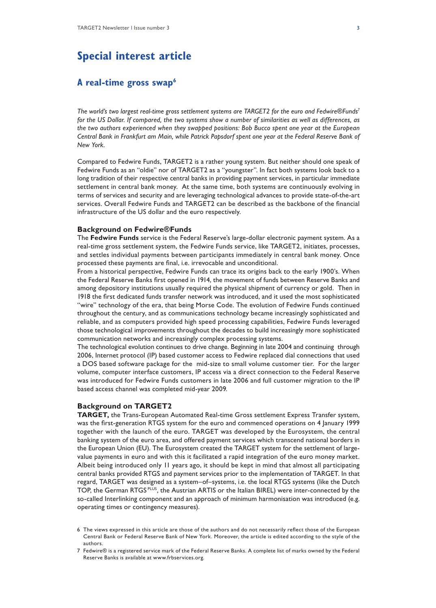# **Special interest article**

## **A real-time gross swap6**

*The world's two largest real-time gross settlement systems are TARGET2 for the euro and Fedwire®Funds7 for the US Dollar. If compared, the two systems show a number of similarities as well as differences, as the two authors experienced when they swapped positions: Bob Bucco spent one year at the European Central Bank in Frankfurt am Main, while Patrick Papsdorf spent one year at the Federal Reserve Bank of New York.* 

Compared to Fedwire Funds, TARGET2 is a rather young system. But neither should one speak of Fedwire Funds as an "oldie" nor of TARGET2 as a "youngster". In fact both systems look back to a long tradition of their respective central banks in providing payment services, in particular immediate settlement in central bank money. At the same time, both systems are continuously evolving in terms of services and security and are leveraging technological advances to provide state-of-the-art services. Overall Fedwire Funds and TARGET2 can be described as the backbone of the financial infrastructure of the US dollar and the euro respectively.

## **Background on Fedwire®Funds**

The **Fedwire Funds** service is the Federal Reserve's large-dollar electronic payment system. As a real-time gross settlement system, the Fedwire Funds service, like TARGET2, initiates, processes, and settles individual payments between participants immediately in central bank money. Once processed these payments are final, i.e. irrevocable and unconditional.

From a historical perspective, Fedwire Funds can trace its origins back to the early 1900's. When the Federal Reserve Banks first opened in 1914, the movement of funds between Reserve Banks and among depository institutions usually required the physical shipment of currency or gold. Then in 1918 the first dedicated funds transfer network was introduced, and it used the most sophisticated "wire" technology of the era, that being Morse Code. The evolution of Fedwire Funds continued throughout the century, and as communications technology became increasingly sophisticated and reliable, and as computers provided high speed processing capabilities, Fedwire Funds leveraged those technological improvements throughout the decades to build increasingly more sophisticated communication networks and increasingly complex processing systems.

The technological evolution continues to drive change. Beginning in late 2004 and continuing through 2006, Internet protocol (IP) based customer access to Fedwire replaced dial connections that used a DOS based software package for the mid-size to small volume customer tier. For the larger volume, computer interface customers, IP access via a direct connection to the Federal Reserve was introduced for Fedwire Funds customers in late 2006 and full customer migration to the IP based access channel was completed mid-year 2009.

## **Background on TARGET2**

**TARGET,** the Trans-European Automated Real-time Gross settlement Express Transfer system, was the first-generation RTGS system for the euro and commenced operations on 4 January 1999 together with the launch of the euro. TARGET was developed by the Eurosystem, the central banking system of the euro area, and offered payment services which transcend national borders in the European Union (EU). The Eurosystem created the TARGET system for the settlement of largevalue payments in euro and with this it facilitated a rapid integration of the euro money market. Albeit being introduced only 11 years ago, it should be kept in mind that almost all participating central banks provided RTGS and payment services prior to the implementation of TARGET. In that regard, TARGET was designed as a system–of–systems, i.e. the local RTGS systems (like the Dutch TOP, the German RTGS PLUS, the Austrian ARTIS or the Italian BIREL) were inter-connected by the so-called Interlinking component and an approach of minimum harmonisation was introduced (e.g. operating times or contingency measures).

<sup>6</sup> The views expressed in this article are those of the authors and do not necessarily reflect those of the European Central Bank or Federal Reserve Bank of New York. Moreover, the article is edited according to the style of the authors.

<sup>7</sup> Fedwire® is a registered service mark of the Federal Reserve Banks. A complete list of marks owned by the Federal Reserve Banks is available at www.frbservices.org.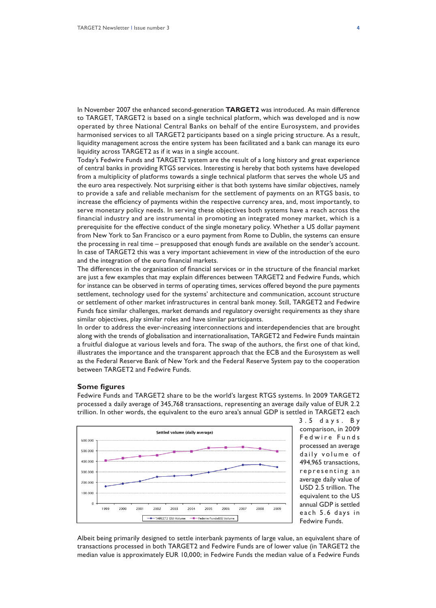In November 2007 the enhanced second-generation **TARGET2** was introduced. As main difference to TARGET, TARGET2 is based on a single technical platform, which was developed and is now operated by three National Central Banks on behalf of the entire Eurosystem, and provides harmonised services to all TARGET2 participants based on a single pricing structure. As a result, liquidity management across the entire system has been facilitated and a bank can manage its euro liquidity across TARGET2 as if it was in a single account.

Today's Fedwire Funds and TARGET2 system are the result of a long history and great experience of central banks in providing RTGS services. Interesting is hereby that both systems have developed from a multiplicity of platforms towards a single technical platform that serves the whole US and the euro area respectively. Not surprising either is that both systems have similar objectives, namely to provide a safe and reliable mechanism for the settlement of payments on an RTGS basis, to increase the efficiency of payments within the respective currency area, and, most importantly, to serve monetary policy needs. In serving these objectives both systems have a reach across the financial industry and are instrumental in promoting an integrated money market, which is a prerequisite for the effective conduct of the single monetary policy. Whether a US dollar payment from New York to San Francisco or a euro payment from Rome to Dublin, the systems can ensure the processing in real time – presupposed that enough funds are available on the sender's account. In case of TARGET2 this was a very important achievement in view of the introduction of the euro and the integration of the euro financial markets.

The differences in the organisation of financial services or in the structure of the financial market are just a few examples that may explain differences between TARGET2 and Fedwire Funds, which for instance can be observed in terms of operating times, services offered beyond the pure payments settlement, technology used for the systems' architecture and communication, account structure or settlement of other market infrastructures in central bank money. Still, TARGET2 and Fedwire Funds face similar challenges, market demands and regulatory oversight requirements as they share similar objectives, play similar roles and have similar participants.

In order to address the ever-increasing interconnections and interdependencies that are brought along with the trends of globalisation and internationalisation, TARGET2 and Fedwire Funds maintain a fruitful dialogue at various levels and fora. The swap of the authors, the first one of that kind, illustrates the importance and the transparent approach that the ECB and the Eurosystem as well as the Federal Reserve Bank of New York and the Federal Reserve System pay to the cooperation between TARGET2 and Fedwire Funds.

## **Some figures**

Fedwire Funds and TARGET2 share to be the world's largest RTGS systems. In 2009 TARGET2 processed a daily average of 345,768 transactions, representing an average daily value of EUR 2.2 trillion. In other words, the equivalent to the euro area's annual GDP is settled in TARGET2 each



3 . 5 d a y s . B y comparison, in 2009 Fedwire Funds processed an average daily volume of 494,965 transactions, representing an average daily value of USD 2.5 trillion. The equivalent to the US annual GDP is settled each 5.6 days in Fedwire Funds.

Albeit being primarily designed to settle interbank payments of large value, an equivalent share of transactions processed in both TARGET2 and Fedwire Funds are of lower value (in TARGET2 the median value is approximately EUR 10,000; in Fedwire Funds the median value of a Fedwire Funds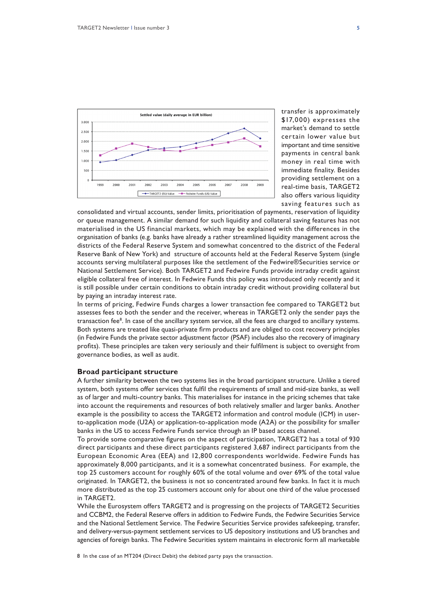

transfer is approximately \$17,000) expresses the market's demand to settle certain lower value but important and time sensitive payments in central bank money in real time with immediate finality. Besides providing settlement on a real-time basis, TARGET2 also offers various liquidity saving features such as

consolidated and virtual accounts, sender limits, prioritisation of payments, reservation of liquidity or queue management. A similar demand for such liquidity and collateral saving features has not materialised in the US financial markets, which may be explained with the differences in the organisation of banks (e.g. banks have already a rather streamlined liquidity management across the districts of the Federal Reserve System and somewhat concentred to the district of the Federal Reserve Bank of New York) and structure of accounts held at the Federal Reserve System (single accounts serving multilateral purposes like the settlement of the Fedwire®Securities service or National Settlement Service). Both TARGET2 and Fedwire Funds provide intraday credit against eligible collateral free of interest. In Fedwire Funds this policy was introduced only recently and it is still possible under certain conditions to obtain intraday credit without providing collateral but by paying an intraday interest rate.

In terms of pricing, Fedwire Funds charges a lower transaction fee compared to TARGET2 but assesses fees to both the sender and the receiver, whereas in TARGET2 only the sender pays the transaction fee<sup>8</sup>. In case of the ancillary system service, all the fees are charged to ancillary systems. Both systems are treated like quasi-private firm products and are obliged to cost recovery principles (in Fedwire Funds the private sector adjustment factor (PSAF) includes also the recovery of imaginary profits). These principles are taken very seriously and their fulfilment is subject to oversight from governance bodies, as well as audit.

### **Broad participant structure**

A further similarity between the two systems lies in the broad participant structure. Unlike a tiered system, both systems offer services that fulfil the requirements of small and mid-size banks, as well as of larger and multi-country banks. This materialises for instance in the pricing schemes that take into account the requirements and resources of both relatively smaller and larger banks. Another example is the possibility to access the TARGET2 information and control module (ICM) in userto-application mode (U2A) or application-to-application mode (A2A) or the possibility for smaller banks in the US to access Fedwire Funds service through an IP based access channel.

To provide some comparative figures on the aspect of participation, TARGET2 has a total of 930 direct participants and these direct participants registered 3,687 indirect participants from the European Economic Area (EEA) and 12,800 correspondents worldwide. Fedwire Funds has approximately 8,000 participants, and it is a somewhat concentrated business. For example, the top 25 customers account for roughly 60% of the total volume and over 69% of the total value originated. In TARGET2, the business is not so concentrated around few banks. In fact it is much more distributed as the top 25 customers account only for about one third of the value processed in TARGET2.

While the Eurosystem offers TARGET2 and is progressing on the projects of TARGET2 Securities and CCBM2, the Federal Reserve offers in addition to Fedwire Funds, the Fedwire Securities Service and the National Settlement Service. The Fedwire Securities Service provides safekeeping, transfer, and delivery-versus-payment settlement services to US depository institutions and US branches and agencies of foreign banks. The Fedwire Securities system maintains in electronic form all marketable

8 In the case of an MT204 (Direct Debit) the debited party pays the transaction.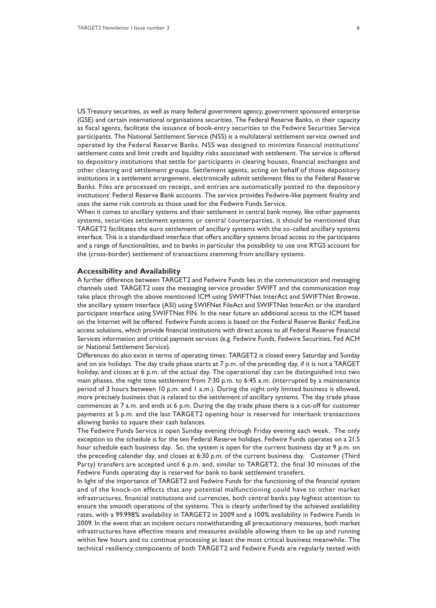US Treasury securities, as well as many federal government agency, government sponsored enterprise (GSE) and certain international organisations securities. The Federal Reserve Banks, in their capacity as fiscal agents, facilitate the issuance of book-entry securities to the Fedwire Securities Service participants. The National Settlement Service (NSS) is a multilateral settlement service owned and operated by the Federal Reserve Banks. NSS was designed to minimize financial institutions' settlement costs and limit credit and liquidity risks associated with settlement. The service is offered to depository institutions that settle for participants in clearing houses, financial exchanges and other clearing and settlement groups. Settlement agents, acting on behalf of those depository institutions in a settlement arrangement, electronically submit settlement files to the Federal Reserve Banks. Files are processed on receipt, and entries are automatically posted to the depository institutions' Federal Reserve Bank accounts. The service provides Fedwire-like payment finality and uses the same risk controls as those used for the Fedwire Funds Service.

When it comes to ancillary systems and their settlement in central bank money, like other payments systems, securities settlement systems or central counterparties, it should be mentioned that TARGET2 facilitates the euro settlement of ancillary systems with the so-called ancillary systems interface. This is a standardised interface that offers ancillary systems broad access to the participants and a range of functionalities, and to banks in particular the possibility to use one RTGS account for the (cross-border) settlement of transactions stemming from ancillary systems.

#### **Accessibility and Availability**

A further difference between TARGET2 and Fedwire Funds lies in the communication and messaging channels used. TARGET2 uses the messaging service provider SWIFT and the communication may take place through the above mentioned ICM using SWIFTNet InterAct and SWIFTNet Browse, the ancillary system interface (ASI) using SWIFNet FileAct and SWIFTNet InterAct or the standard participant interface using SWIFTNet FIN. In the near future an additional access to the ICM based on the Internet will be offered. Fedwire Funds access is based on the Federal Reserve Banks' FedLine access solutions, which provide financial institutions with direct access to all Federal Reserve Financial Services information and critical payment services (e.g. Fedwire Funds, Fedwire Securities, Fed ACH or National Settlement Service).

Differences do also exist in terms of operating times: TARGET2 is closed every Saturday and Sunday and on six holidays. The day trade phase starts at 7 p.m. of the preceding day, if it is not a TARGET holiday, and closes at 6 p.m. of the actual day. The operational day can be distinguished into two main phases, the night time settlement from 7:30 p.m. to 6:45 a.m. (interrupted by a maintenance period of 3 hours between 10 p.m. and 1 a.m.). During the night only limited business is allowed, more precisely business that is related to the settlement of ancillary systems. The day trade phase commences at 7 a.m. and ends at 6 p.m. During the day trade phase there is a cut-off for customer payments at 5 p.m. and the last TARGET2 opening hour is reserved for interbank transactions allowing banks to square their cash balances.

The Fedwire Funds Service is open Sunday evening through Friday evening each week. The only exception to the schedule is for the ten Federal Reserve holidays. Fedwire Funds operates on a 21.5 hour schedule each business day. So, the system is open for the current business day at 9 p.m. on the preceding calendar day, and closes at 6:30 p.m. of the current business day. Customer (Third Party) transfers are accepted until 6 p.m. and, similar to TARGET2, the final 30 minutes of the Fedwire Funds operating day is reserved for bank to bank settlement transfers.

In light of the importance of TARGET2 and Fedwire Funds for the functioning of the financial system and of the knock-on effects that any potential malfunctioning could have to other market infrastructures, financial institutions and currencies, both central banks pay highest attention to ensure the smooth operations of the systems. This is clearly underlined by the achieved availability rates, with a 99.998% availability in TARGET2 in 2009 and a 100% availability in Fedwire Funds in 2009. In the event that an incident occurs notwithstanding all precautionary measures, both market infrastructures have effective means and measures available allowing them to be up and running within few hours and to continue processing at least the most critical business meanwhile. The technical resiliency components of both TARGET2 and Fedwire Funds are regularly tested with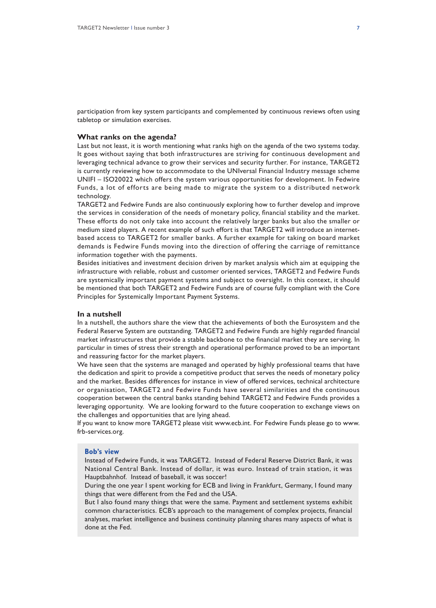participation from key system participants and complemented by continuous reviews often using tabletop or simulation exercises.

## **What ranks on the agenda?**

Last but not least, it is worth mentioning what ranks high on the agenda of the two systems today. It goes without saying that both infrastructures are striving for continuous development and leveraging technical advance to grow their services and security further. For instance, TARGET2 is currently reviewing how to accommodate to the UNIversal Financial Industry message scheme UNIFI – ISO20022 which offers the system various opportunities for development. In Fedwire Funds, a lot of efforts are being made to migrate the system to a distributed network technology.

TARGET2 and Fedwire Funds are also continuously exploring how to further develop and improve the services in consideration of the needs of monetary policy, financial stability and the market. These efforts do not only take into account the relatively larger banks but also the smaller or medium sized players. A recent example of such effort is that TARGET2 will introduce an internetbased access to TARGET2 for smaller banks. A further example for taking on board market demands is Fedwire Funds moving into the direction of offering the carriage of remittance information together with the payments.

Besides initiatives and investment decision driven by market analysis which aim at equipping the infrastructure with reliable, robust and customer oriented services, TARGET2 and Fedwire Funds are systemically important payment systems and subject to oversight. In this context, it should be mentioned that both TARGET2 and Fedwire Funds are of course fully compliant with the Core Principles for Systemically Important Payment Systems.

## **In a nutshell**

In a nutshell, the authors share the view that the achievements of both the Eurosystem and the Federal Reserve System are outstanding. TARGET2 and Fedwire Funds are highly regarded financial market infrastructures that provide a stable backbone to the financial market they are serving. In particular in times of stress their strength and operational performance proved to be an important and reassuring factor for the market players.

We have seen that the systems are managed and operated by highly professional teams that have the dedication and spirit to provide a competitive product that serves the needs of monetary policy and the market. Besides differences for instance in view of offered services, technical architecture or organisation, TARGET2 and Fedwire Funds have several similarities and the continuous cooperation between the central banks standing behind TARGET2 and Fedwire Funds provides a leveraging opportunity. We are looking forward to the future cooperation to exchange views on the challenges and opportunities that are lying ahead.

If you want to know more TARGET2 please visit www.ecb.int. For Fedwire Funds please go to www. frb-services.org.

## **Bob's view**

Instead of Fedwire Funds, it was TARGET2. Instead of Federal Reserve District Bank, it was National Central Bank. Instead of dollar, it was euro. Instead of train station, it was Hauptbahnhof. Instead of baseball, it was soccer!

During the one year I spent working for ECB and living in Frankfurt, Germany, I found many things that were different from the Fed and the USA.

But I also found many things that were the same. Payment and settlement systems exhibit common characteristics. ECB's approach to the management of complex projects, financial analyses, market intelligence and business continuity planning shares many aspects of what is done at the Fed.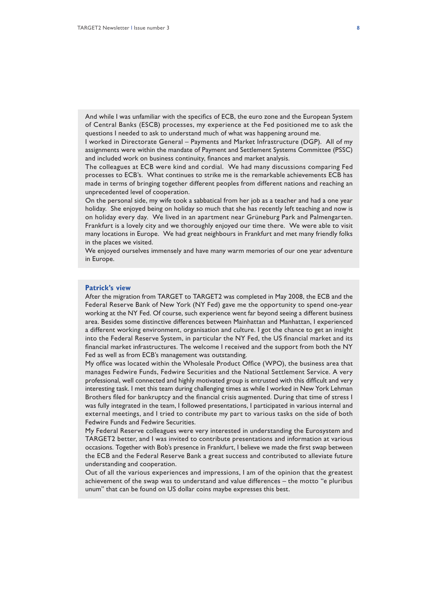And while I was unfamiliar with the specifics of ECB, the euro zone and the European System of Central Banks (ESCB) processes, my experience at the Fed positioned me to ask the questions I needed to ask to understand much of what was happening around me.

I worked in Directorate General – Payments and Market Infrastructure (DGP). All of my assignments were within the mandate of Payment and Settlement Systems Committee (PSSC) and included work on business continuity, finances and market analysis.

The colleagues at ECB were kind and cordial. We had many discussions comparing Fed processes to ECB's. What continues to strike me is the remarkable achievements ECB has made in terms of bringing together different peoples from different nations and reaching an unprecedented level of cooperation.

On the personal side, my wife took a sabbatical from her job as a teacher and had a one year holiday. She enjoyed being on holiday so much that she has recently left teaching and now is on holiday every day. We lived in an apartment near Grüneburg Park and Palmengarten. Frankfurt is a lovely city and we thoroughly enjoyed our time there. We were able to visit many locations in Europe. We had great neighbours in Frankfurt and met many friendly folks in the places we visited.

We enjoyed ourselves immensely and have many warm memories of our one year adventure in Europe.

## **Patrick's view**

After the migration from TARGET to TARGET2 was completed in May 2008, the ECB and the Federal Reserve Bank of New York (NY Fed) gave me the opportunity to spend one-year working at the NY Fed. Of course, such experience went far beyond seeing a different business area. Besides some distinctive differences between Mainhattan and Manhattan, I experienced a different working environment, organisation and culture. I got the chance to get an insight into the Federal Reserve System, in particular the NY Fed, the US financial market and its financial market infrastructures. The welcome I received and the support from both the NY Fed as well as from ECB's management was outstanding.

My office was located within the Wholesale Product Office (WPO), the business area that manages Fedwire Funds, Fedwire Securities and the National Settlement Service. A very professional, well connected and highly motivated group is entrusted with this difficult and very interesting task. I met this team during challenging times as while I worked in New York Lehman Brothers filed for bankruptcy and the financial crisis augmented. During that time of stress I was fully integrated in the team, I followed presentations, I participated in various internal and external meetings, and I tried to contribute my part to various tasks on the side of both Fedwire Funds and Fedwire Securities.

My Federal Reserve colleagues were very interested in understanding the Eurosystem and TARGET2 better, and I was invited to contribute presentations and information at various occasions. Together with Bob's presence in Frankfurt, I believe we made the first swap between the ECB and the Federal Reserve Bank a great success and contributed to alleviate future understanding and cooperation.

Out of all the various experiences and impressions, I am of the opinion that the greatest achievement of the swap was to understand and value differences – the motto "e pluribus unum" that can be found on US dollar coins maybe expresses this best.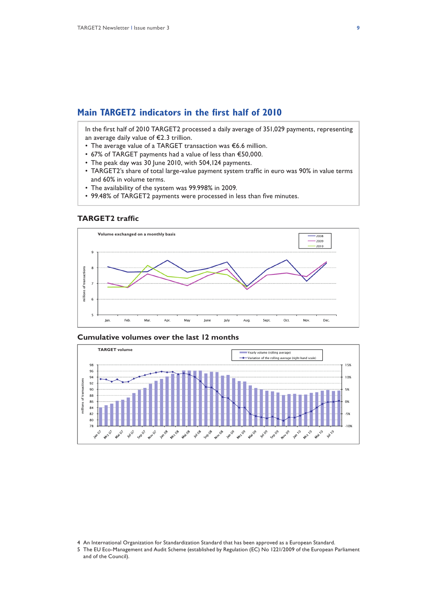## **Main TARGET2 indicators in the first half of 2010**

In the first half of 2010 TARGET2 processed a daily average of 351,029 payments, representing an average daily value of €2.3 trillion.

- The average value of a TARGET transaction was €6.6 million.
- 67% of TARGET payments had a value of less than €50,000.
- The peak day was 30 June 2010, with 504,124 payments.
- TARGET2's share of total large-value payment system traffic in euro was 90% in value terms and 60% in volume terms.
- The availability of the system was 99.998% in 2009.
- 99.48% of TARGET2 payments were processed in less than five minutes.

## **TARGET2 traffic**



## **Cumulative volumes over the last 12 months**



5 The EU Eco-Management and Audit Scheme (established by Regulation (EC) No 1221/2009 of the European Parliament and of the Council).

<sup>4</sup> An International Organization for Standardization Standard that has been approved as a European Standard.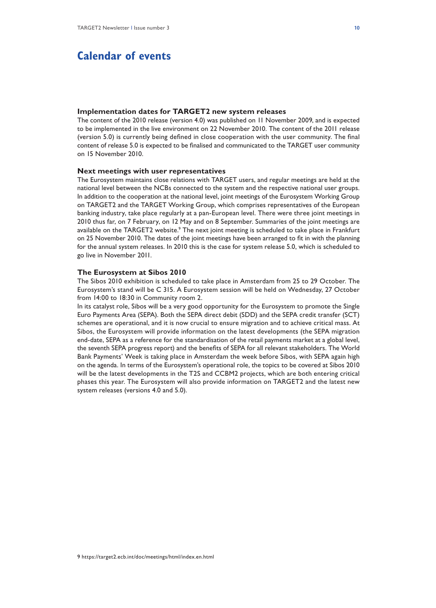# **Calendar of events**

#### **Implementation dates for TARGET2 new system releases**

The content of the 2010 release (version 4.0) was published on 11 November 2009, and is expected to be implemented in the live environment on 22 November 2010. The content of the 2011 release (version 5.0) is currently being defined in close cooperation with the user community. The final content of release 5.0 is expected to be finalised and communicated to the TARGET user community on 15 November 2010.

### **Next meetings with user representatives**

The Eurosystem maintains close relations with TARGET users, and regular meetings are held at the national level between the NCBs connected to the system and the respective national user groups. In addition to the cooperation at the national level, joint meetings of the Eurosystem Working Group on TARGET2 and the TARGET Working Group, which comprises representatives of the European banking industry, take place regularly at a pan-European level. There were three joint meetings in 2010 thus far, on 7 February, on 12 May and on 8 September. Summaries of the joint meetings are available on the TARGET2 website.<sup>9</sup> The next joint meeting is scheduled to take place in Frankfurt on 25 November 2010. The dates of the joint meetings have been arranged to fit in with the planning for the annual system releases. In 2010 this is the case for system release 5.0, which is scheduled to go live in November 2011.

## **The Eurosystem at Sibos 2010**

The Sibos 2010 exhibition is scheduled to take place in Amsterdam from 25 to 29 October. The Eurosystem's stand will be C 315. A Eurosystem session will be held on Wednesday, 27 October from 14:00 to 18:30 in Community room 2.

In its catalyst role, Sibos will be a very good opportunity for the Eurosystem to promote the Single Euro Payments Area (SEPA). Both the SEPA direct debit (SDD) and the SEPA credit transfer (SCT) schemes are operational, and it is now crucial to ensure migration and to achieve critical mass. At Sibos, the Eurosystem will provide information on the latest developments (the SEPA migration end-date, SEPA as a reference for the standardisation of the retail payments market at a global level, the seventh SEPA progress report) and the benefits of SEPA for all relevant stakeholders. The World Bank Payments' Week is taking place in Amsterdam the week before Sibos, with SEPA again high on the agenda. In terms of the Eurosystem's operational role, the topics to be covered at Sibos 2010 will be the latest developments in the T2S and CCBM2 projects, which are both entering critical phases this year. The Eurosystem will also provide information on TARGET2 and the latest new system releases (versions 4.0 and 5.0).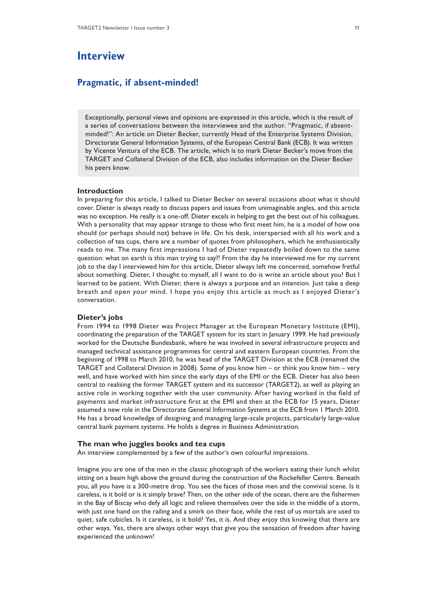# **Interview**

## **Pragmatic, if absent-minded!**

Exceptionally, personal views and opinions are expressed in this article, which is the result of a series of conversations between the interviewee and the author. "Pragmatic, if absentminded!": An article on Dieter Becker, currently Head of the Enterprise Systems Division, Directorate General Information Systems, of the European Central Bank (ECB). It was written by Vicente Ventura of the ECB. The article, which is to mark Dieter Becker's move from the TARGET and Collateral Division of the ECB, also includes information on the Dieter Becker his peers know.

## **Introduction**

In preparing for this article, I talked to Dieter Becker on several occasions about what it should cover. Dieter is always ready to discuss papers and issues from unimaginable angles, and this article was no exception. He really is a one-off. Dieter excels in helping to get the best out of his colleagues. With a personality that may appear strange to those who first meet him, he is a model of how one should (or perhaps should not) behave in life. On his desk, interspersed with all his work and a collection of tea cups, there are a number of quotes from philosophers, which he enthusiastically reads to me. The many first impressions I had of Dieter repeatedly boiled down to the same question: what on earth is this man trying to say?! From the day he interviewed me for my current job to the day I interviewed him for this article, Dieter always left me concerned, somehow fretful about something. Dieter, I thought to myself, all I want to do is write an article about you! But I learned to be patient. With Dieter, there is always a purpose and an intention. Just take a deep breath and open your mind. I hope you enjoy this article as much as I enjoyed Dieter's conversation.

## **Dieter's jobs**

From 1994 to 1998 Dieter was Project Manager at the European Monetary Institute (EMI), coordinating the preparation of the TARGET system for its start in January 1999. He had previously worked for the Deutsche Bundesbank, where he was involved in several infrastructure projects and managed technical assistance programmes for central and eastern European countries. From the beginning of 1998 to March 2010, he was head of the TARGET Division at the ECB (renamed the TARGET and Collateral Division in 2008). Some of you know him – or think you know him – very well, and have worked with him since the early days of the EMI or the ECB. Dieter has also been central to realising the former TARGET system and its successor (TARGET2), as well as playing an active role in working together with the user community. After having worked in the field of payments and market infrastructure first at the EMI and then at the ECB for 15 years, Dieter assumed a new role in the Directorate General Information Systems at the ECB from 1 March 2010. He has a broad knowledge of designing and managing large-scale projects, particularly large-value central bank payment systems. He holds a degree in Business Administration.

#### **The man who juggles books and tea cups**

An interview complemented by a few of the author's own colourful impressions.

Imagine you are one of the men in the classic photograph of the workers eating their lunch whilst sitting on a beam high above the ground during the construction of the Rockefeller Centre. Beneath you, all you have is a 300-metre drop. You see the faces of those men and the convivial scene. Is it careless, is it bold or is it simply brave? Then, on the other side of the ocean, there are the fishermen in the Bay of Biscay who defy all logic and relieve themselves over the side in the middle of a storm, with just one hand on the railing and a smirk on their face, while the rest of us mortals are used to quiet, safe cubicles. Is it careless, is it bold? Yes, it is. And they enjoy this knowing that there are other ways. Yes, there are always other ways that give you the sensation of freedom after having experienced the unknown!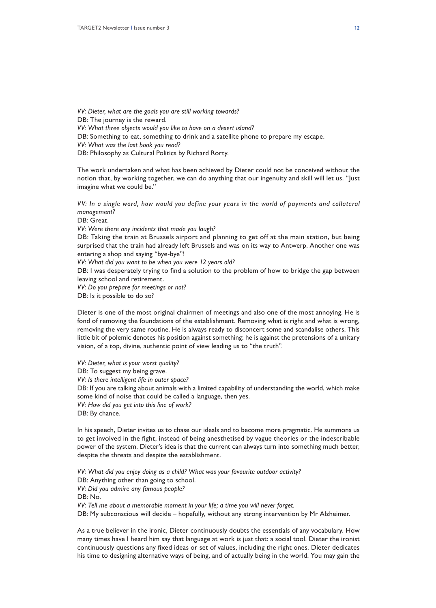*VV: Dieter, what are the goals you are still working towards?*

DB: The journey is the reward.

*VV: What three objects would you like to have on a desert island?* 

DB: Something to eat, something to drink and a satellite phone to prepare my escape.

*VV: What was the last book you read?*

DB: Philosophy as Cultural Politics by Richard Rorty.

The work undertaken and what has been achieved by Dieter could not be conceived without the notion that, by working together, we can do anything that our ingenuity and skill will let us. "Just imagine what we could be."

*VV: In a single word, how would you define your years in the world of payments and collateral management?*

DB: Great.

*VV: Were there any incidents that made you laugh?*

DB: Taking the train at Brussels airport and planning to get off at the main station, but being surprised that the train had already left Brussels and was on its way to Antwerp. Another one was entering a shop and saying "bye-bye"!

*VV: What did you want to be when you were 12 years old?*

DB: I was desperately trying to find a solution to the problem of how to bridge the gap between leaving school and retirement.

*VV: Do you prepare for meetings or not?*

DB: Is it possible to do so?

Dieter is one of the most original chairmen of meetings and also one of the most annoying. He is fond of removing the foundations of the establishment. Removing what is right and what is wrong, removing the very same routine. He is always ready to disconcert some and scandalise others. This little bit of polemic denotes his position against something: he is against the pretensions of a unitary vision, of a top, divine, authentic point of view leading us to "the truth".

*VV: Dieter, what is your worst quality?* DB: To suggest my being grave. *VV: Is there intelligent life in outer space?* DB: If you are talking about animals with a limited capability of understanding the world, which make some kind of noise that could be called a language, then yes. *VV: How did you get into this line of work?* DB: By chance.

In his speech, Dieter invites us to chase our ideals and to become more pragmatic. He summons us to get involved in the fight, instead of being anesthetised by vague theories or the indescribable power of the system. Dieter's idea is that the current can always turn into something much better, despite the threats and despite the establishment.

*VV: What did you enjoy doing as a child? What was your favourite outdoor activity?* DB: Anything other than going to school. *VV: Did you admire any famous people?*  DB: No. *VV: Tell me about a memorable moment in your life; a time you will never forget.* DB: My subconscious will decide – hopefully, without any strong intervention by Mr Alzheimer.

As a true believer in the ironic, Dieter continuously doubts the essentials of any vocabulary. How many times have I heard him say that language at work is just that: a social tool. Dieter the ironist continuously questions any fixed ideas or set of values, including the right ones. Dieter dedicates his time to designing alternative ways of being, and of actually being in the world. You may gain the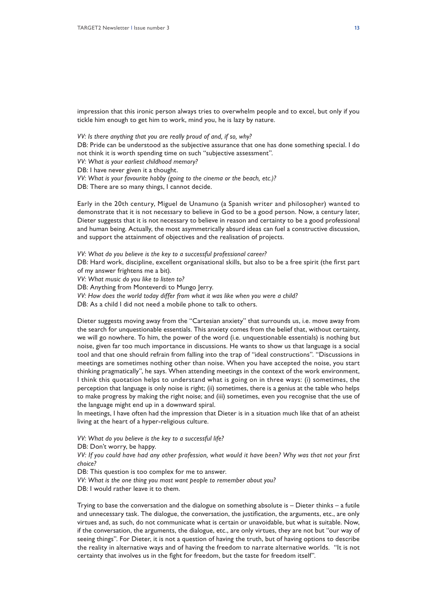impression that this ironic person always tries to overwhelm people and to excel, but only if you tickle him enough to get him to work, mind you, he is lazy by nature.

*VV: Is there anything that you are really proud of and, if so, why?*

DB: Pride can be understood as the subjective assurance that one has done something special. I do not think it is worth spending time on such "subjective assessment".

*VV: What is your earliest childhood memory?* 

DB: I have never given it a thought.

*VV: What is your favourite hobby (going to the cinema or the beach, etc.)?* 

DB: There are so many things, I cannot decide.

Early in the 20th century, Miguel de Unamuno (a Spanish writer and philosopher) wanted to demonstrate that it is not necessary to believe in God to be a good person. Now, a century later, Dieter suggests that it is not necessary to believe in reason and certainty to be a good professional and human being. Actually, the most asymmetrically absurd ideas can fuel a constructive discussion, and support the attainment of objectives and the realisation of projects.

*VV: What do you believe is the key to a successful professional career?*  DB: Hard work, discipline, excellent organisational skills, but also to be a free spirit (the first part of my answer frightens me a bit). *VV: What music do you like to listen to?*  DB: Anything from Monteverdi to Mungo Jerry. *VV: How does the world today differ from what it was like when you were a child?* 

DB: As a child I did not need a mobile phone to talk to others.

Dieter suggests moving away from the "Cartesian anxiety" that surrounds us, i.e. move away from the search for unquestionable essentials. This anxiety comes from the belief that, without certainty, we will go nowhere. To him, the power of the word (i.e. unquestionable essentials) is nothing but noise, given far too much importance in discussions. He wants to show us that language is a social tool and that one should refrain from falling into the trap of "ideal constructions". "Discussions in meetings are sometimes nothing other than noise. When you have accepted the noise, you start thinking pragmatically", he says. When attending meetings in the context of the work environment, I think this quotation helps to understand what is going on in three ways: (i) sometimes, the perception that language is only noise is right; (ii) sometimes, there is a genius at the table who helps to make progress by making the right noise; and (iii) sometimes, even you recognise that the use of the language might end up in a downward spiral.

In meetings, I have often had the impression that Dieter is in a situation much like that of an atheist living at the heart of a hyper-religious culture.

*VV: What do you believe is the key to a successful life?* 

DB: Don't worry, be happy.

*VV: If you could have had any other profession, what would it have been? Why was that not your first choice?* 

DB: This question is too complex for me to answer.

*VV: What is the one thing you most want people to remember about you?* 

DB: I would rather leave it to them.

Trying to base the conversation and the dialogue on something absolute is – Dieter thinks – a futile and unnecessary task. The dialogue, the conversation, the justification, the arguments, etc., are only virtues and, as such, do not communicate what is certain or unavoidable, but what is suitable. Now, if the conversation, the arguments, the dialogue, etc., are only virtues, they are not but "our way of seeing things". For Dieter, it is not a question of having the truth, but of having options to describe the reality in alternative ways and of having the freedom to narrate alternative worlds. "It is not certainty that involves us in the fight for freedom, but the taste for freedom itself".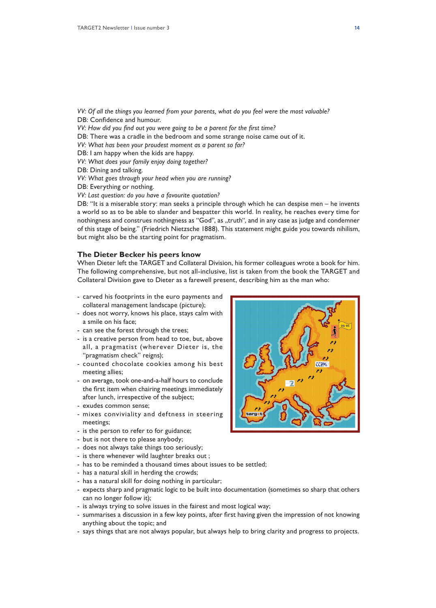- *VV: Of all the things you learned from your parents, what do you feel were the most valuable?*  DB: Confidence and humour.
- *VV: How did you find out you were going to be a parent for the first time?*
- DB: There was a cradle in the bedroom and some strange noise came out of it.
- *VV: What has been your proudest moment as a parent so far?*
- DB: I am happy when the kids are happy.
- *VV: What does your family enjoy doing together?*
- DB: Dining and talking.
- *VV: What goes through your head when you are running?*

DB: Everything or nothing.

*VV: Last question: do you have a favourite quotation?* 

DB: "It is a miserable story: man seeks a principle through which he can despise men – he invents a world so as to be able to slander and bespatter this world. In reality, he reaches every time for nothingness and construes nothingness as "God", as "truth", and in any case as judge and condemner of this stage of being." (Friedrich Nietzsche 1888). This statement might guide you towards nihilism, but might also be the starting point for pragmatism.

#### **The Dieter Becker his peers know**

When Dieter left the TARGET and Collateral Division, his former colleagues wrote a book for him. The following comprehensive, but not all-inclusive, list is taken from the book the TARGET and Collateral Division gave to Dieter as a farewell present, describing him as the man who:

- carved his footprints in the euro payments and collateral management landscape (picture);
- does not worry, knows his place, stays calm with a smile on his face;
- can see the forest through the trees;
- is a creative person from head to toe, but, above all, a pragmatist (wherever Dieter is, the "pragmatism check" reigns);
- counted chocolate cookies among his best meeting allies;
- on average, took one-and-a-half hours to conclude the first item when chairing meetings immediately after lunch, irrespective of the subject;
- exudes common sense;
- mixes conviviality and deftness in steering meetings;
- is the person to refer to for guidance;
- but is not there to please anybody;
- does not always take things too seriously;
- is there whenever wild laughter breaks out ;
- has to be reminded a thousand times about issues to be settled;
- has a natural skill in herding the crowds;
- has a natural skill for doing nothing in particular;
- expects sharp and pragmatic logic to be built into documentation (sometimes so sharp that others can no longer follow it);
- is always trying to solve issues in the fairest and most logical way;
- summarises a discussion in a few key points, after first having given the impression of not knowing anything about the topic; and
- says things that are not always popular, but always help to bring clarity and progress to projects.